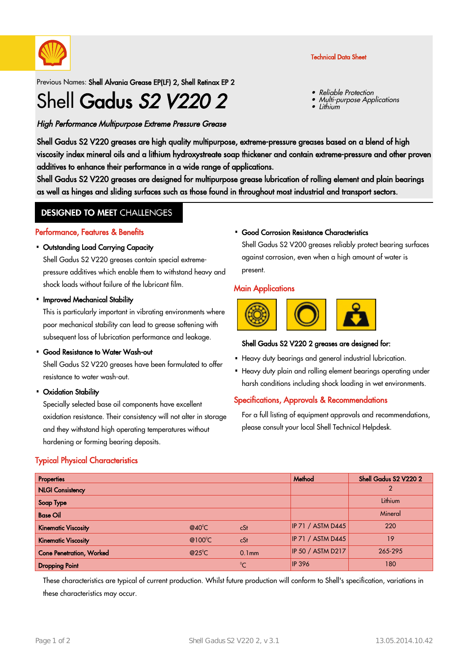

Previous Names: Shell Alvania Grease EP(LF) 2, Shell Retinax EP 2

# Shell Gadus S2 V220 2

# High Performance Multipurpose Extreme Pressure Grease

Shell Gadus S2 V220 greases are high quality multipurpose, extreme-pressure greases based on a blend of high viscosity index mineral oils and a lithium hydroxystreate soap thickener and contain extreme-pressure and other proven additives to enhance their performance in a wide range of applications.

Shell Gadus S2 V220 greases are designed for multipurpose grease lubrication of rolling element and plain bearings as well as hinges and sliding surfaces such as those found in throughout most industrial and transport sectors.

# **DESIGNED TO MEET CHALLENGES**

#### Performance, Features & Benefits

### Outstanding Load Carrying Capacity ·

Shell Gadus S2 V220 greases contain special extremepressure additives which enable them to withstand heavy and shock loads without failure of the lubricant film.

#### • Improved Mechanical Stability

This is particularly important in vibrating environments where poor mechanical stability can lead to grease softening with subsequent loss of lubrication performance and leakage.

#### • Good Resistance to Water Wash-out

Shell Gadus S2 V220 greases have been formulated to offer resistance to water wash-out.

#### Oxidation Stability ·

Specially selected base oil components have excellent oxidation resistance. Their consistency will not alter in storage and they withstand high operating temperatures without hardening or forming bearing deposits.

# Typical Physical Characteristics

#### Good Corrosion Resistance Characteristics ·

Shell Gadus S2 V200 greases reliably protect bearing surfaces against corrosion, even when a high amount of water is present.

## **Main Applications**



# Shell Gadus S2 V220 2 greases are designed for:

- Heavy duty bearings and general industrial lubrication.
- Heavy duty plain and rolling element bearings operating under harsh conditions including shock loading in wet environments.

# Specifications, Approvals & Recommendations

For a full listing of equipment approvals and recommendations, please consult your local Shell Technical Helpdesk.

| Properties                      |                  |                   | Method                   | Shell Gadus S2 V220 2 |
|---------------------------------|------------------|-------------------|--------------------------|-----------------------|
| <b>NLGI Consistency</b>         |                  |                   |                          | $\mathcal{P}$         |
| Soap Type                       |                  |                   |                          | Lithium               |
| <b>Base Oil</b>                 |                  |                   |                          | Mineral               |
| <b>Kinematic Viscosity</b>      | $@40^{\circ}$ C  | cSt               | <b>IP 71 / ASTM D445</b> | 220                   |
| <b>Kinematic Viscosity</b>      | @100 $\degree$ C | cSt               | <b>IP 71 / ASTM D445</b> | 19                    |
| <b>Cone Penetration, Worked</b> | $@25^{\circ}$ C  | 0.1 <sub>mm</sub> | <b>IP 50 / ASTM D217</b> | 265-295               |
| <b>Dropping Point</b>           |                  | $\rm ^{0}C$       | <b>IP 396</b>            | 180                   |

These characteristics are typical of current production. Whilst future production will conform to Shell's specification, variations in these characteristics may occur.

## Technical Data Sheet

Reliable Protection

Multi-purpose Applications

•

•

•Lithium